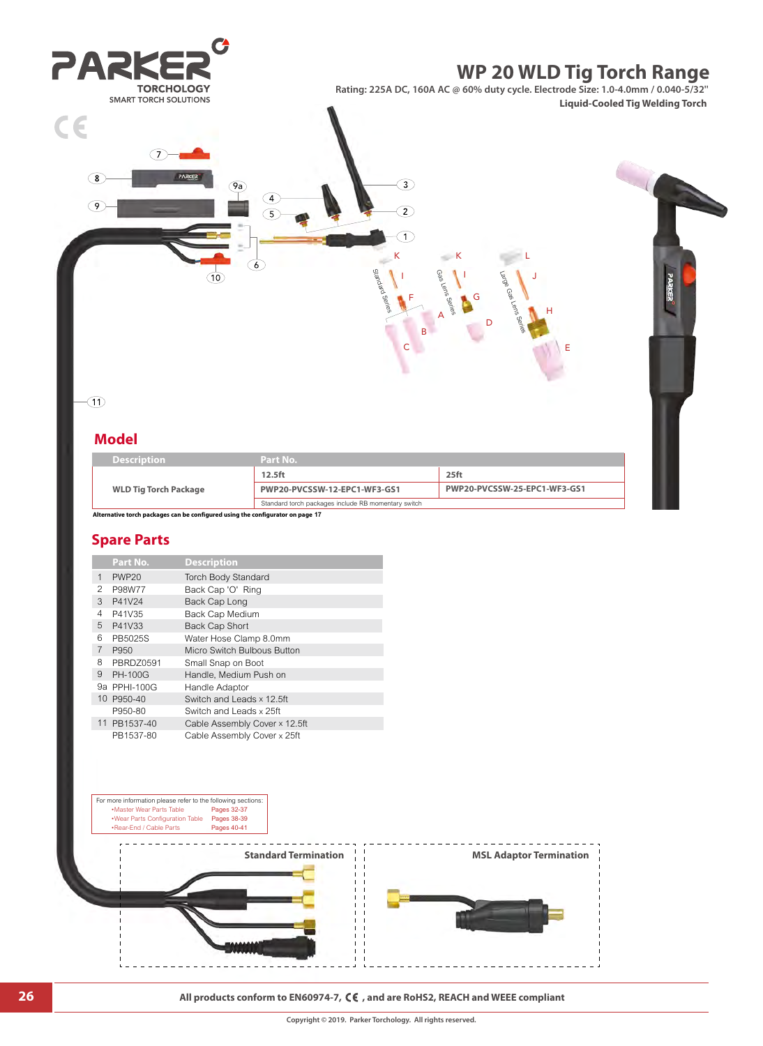

## **Spare Parts**

|                | Part No.       | <b>Description</b>            |
|----------------|----------------|-------------------------------|
| 1              | <b>PWP20</b>   | <b>Torch Body Standard</b>    |
| 2              | P98W77         | Back Cap 'O' Ring             |
| 3              | P41V24         | Back Cap Long                 |
| 4              | P41V35         | Back Cap Medium               |
| 5              | P41V33         | <b>Back Cap Short</b>         |
| 6              | PB5025S        | Water Hose Clamp 8.0mm        |
| $\overline{7}$ | P950           | Micro Switch Bulbous Button   |
| 8              | PBRDZ0591      | Small Snap on Boot            |
| 9              | <b>PH-100G</b> | Handle, Medium Push on        |
|                | 9a PPHI-100G   | Handle Adaptor                |
|                | 10 P950-40     | Switch and Leads x 12.5ft     |
|                | P950-80        | Switch and Leads x 25ft       |
|                | 11 PB1537-40   | Cable Assembly Cover x 12.5ft |
|                | PB1537-80      | Cable Assembly Cover x 25ft   |



**26 All products conform to EN60974-7, CE**, and are RoHS2, REACH and WEEE compliant